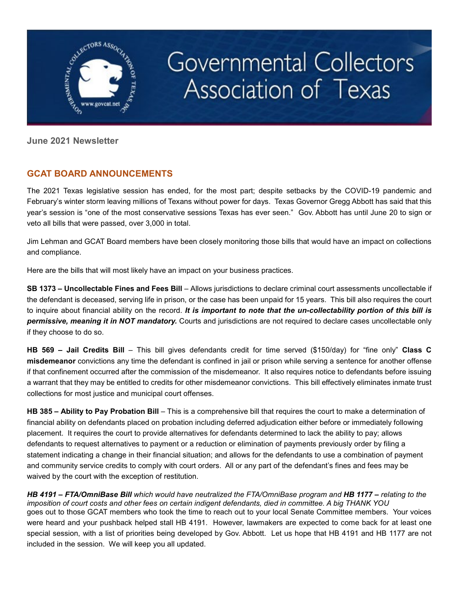

# Governmental Collectors Association of Texas

**June 2021 Newsletter** 

# **GCAT BOARD ANNOUNCEMENTS**

The 2021 Texas legislative session has ended, for the most part; despite setbacks by the COVID-19 pandemic and February's winter storm leaving millions of Texans without power for days. Texas Governor Gregg Abbott has said that this year's session is "one of the most conservative sessions Texas has ever seen." Gov. Abbott has until June 20 to sign or veto all bills that were passed, over 3,000 in total.

Jim Lehman and GCAT Board members have been closely monitoring those bills that would have an impact on collections and compliance.

Here are the bills that will most likely have an impact on your business practices.

**SB 1373 – Uncollectable Fines and Fees Bill** – Allows jurisdictions to declare criminal court assessments uncollectable if the defendant is deceased, serving life in prison, or the case has been unpaid for 15 years. This bill also requires the court to inquire about financial ability on the record. *It is important to note that the un-collectability portion of this bill is permissive, meaning it in NOT mandatory.* Courts and jurisdictions are not required to declare cases uncollectable only if they choose to do so.

**HB 569 – Jail Credits Bill** – This bill gives defendants credit for time served (\$150/day) for "fine only" **Class C misdemeanor** convictions any time the defendant is confined in jail or prison while serving a sentence for another offense if that confinement occurred after the commission of the misdemeanor. It also requires notice to defendants before issuing a warrant that they may be entitled to credits for other misdemeanor convictions. This bill effectively eliminates inmate trust collections for most justice and municipal court offenses.

**HB 385 – Ability to Pay Probation Bill** – This is a comprehensive bill that requires the court to make a determination of financial ability on defendants placed on probation including deferred adjudication either before or immediately following placement. It requires the court to provide alternatives for defendants determined to lack the ability to pay; allows defendants to request alternatives to payment or a reduction or elimination of payments previously order by filing a statement indicating a change in their financial situation; and allows for the defendants to use a combination of payment and community service credits to comply with court orders. All or any part of the defendant's fines and fees may be waived by the court with the exception of restitution.

*HB 4191 – FTA/OmniBase Bill which would have neutralized the FTA/OmniBase program and HB 1177 – relating to the imposition of court costs and other fees on certain indigent defendants, died in committee. A big THANK YOU*  goes out to those GCAT members who took the time to reach out to your local Senate Committee members. Your voices were heard and your pushback helped stall HB 4191. However, lawmakers are expected to come back for at least one special session, with a list of priorities being developed by Gov. Abbott. Let us hope that HB 4191 and HB 1177 are not included in the session. We will keep you all updated.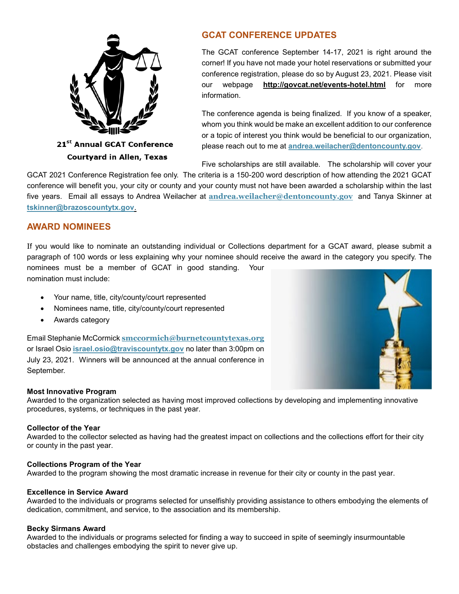

**Courtyard in Allen, Texas** 

# **GCAT CONFERENCE UPDATES**

The GCAT conference September 14-17, 2021 is right around the corner! If you have not made your hotel reservations or submitted your conference registration, please do so by August 23, 2021. Please visit our webpage **<http://govcat.net/events-hotel.html>** for more information.

The conference agenda is being finalized. If you know of a speaker, whom you think would be make an excellent addition to our conference or a topic of interest you think would be beneficial to our organization, please reach out to me at **[andrea.weilacher@dentoncounty.gov](mailto:andrea.weilacher@dentoncounty.gov)**.

Five scholarships are still available. The scholarship will cover your

GCAT 2021 Conference Registration fee only. The criteria is a 150-200 word description of how attending the 2021 GCAT conference will benefit you, your city or county and your county must not have been awarded a scholarship within the last five years. Email all essays to Andrea Weilacher at **[andrea.weilacher@dentoncounty.gov](mailto:andrea.weilacher@dentoncounty.gov)** and Tanya Skinner at **[tskinner@brazoscountytx.gov](mailto:tskinner@brazoscountytx.gov)**.

## **AWARD NOMINEES**

If you would like to nominate an outstanding individual or Collections department for a GCAT award, please submit a paragraph of 100 words or less explaining why your nominee should receive the award in the category you specify. The nominees must be a member of GCAT in good standing. Your nomination must include:

- Your name, title, city/county/court represented
- Nominees name, title, city/county/court represented
- Awards category

Email Stephanie McCormick **[smccormich@burnetcountytexas.org](mailto:smccormich@burnetcountytexas.org)** or Israel Osio **[israel.osio@traviscountytx.gov](mailto:israel.osio@traviscountytx.gov)** no later than 3:00pm on July 23, 2021. Winners will be announced at the annual conference in September.



### **Most Innovative Program**

Awarded to the organization selected as having most improved collections by developing and implementing innovative procedures, systems, or techniques in the past year.

#### **Collector of the Year**

Awarded to the collector selected as having had the greatest impact on collections and the collections effort for their city or county in the past year.

#### **Collections Program of the Year**

Awarded to the program showing the most dramatic increase in revenue for their city or county in the past year.

#### **Excellence in Service Award**

Awarded to the individuals or programs selected for unselfishly providing assistance to others embodying the elements of dedication, commitment, and service, to the association and its membership.

#### **Becky Sirmans Award**

Awarded to the individuals or programs selected for finding a way to succeed in spite of seemingly insurmountable obstacles and challenges embodying the spirit to never give up.